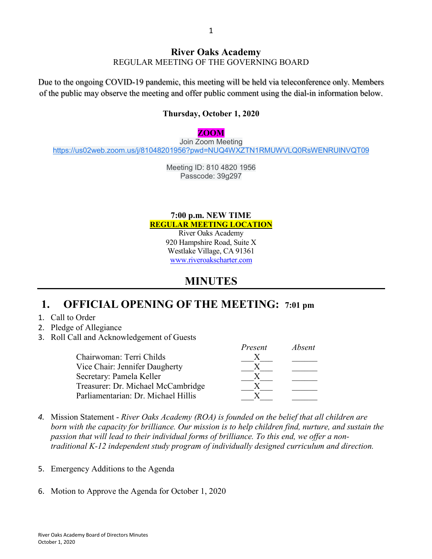### **River Oaks Academy**

REGULAR MEETING OF THE GOVERNING BOARD

Due to the ongoing COVID-19 pandemic, this meeting will be held via teleconference only. Members of the public may observe the meeting and offer public comment using the dial-in information below.

#### **Thursday, October 1, 2020**

#### **ZOOM**

Join Zoom Meeting [https://us02web.zoom.us/j/81048201956?pwd=NUQ4WXZTN1RMUWVLQ0RsWENRUlNVQT09](https://www.google.com/url?q=https://us02web.zoom.us/j/81048201956?pwd%3DNUQ4WXZTN1RMUWVLQ0RsWENRUlNVQT09&sa=D&source=calendar&ust=1600108481302000&usg=AOvVaw2BmQzrd6xtpKZuAZA1zJFu)

> Meeting ID: 810 4820 1956 Passcode: 39g297

#### **7:00 p.m. NEW TIME REGULAR MEETING LOCATION**

River Oaks Academy 920 Hampshire Road, Suite X Westlake Village, CA 91361 [www.riveroakscharter.com](http://www.riveroakscharter.com/)

### **MINUTES**

#### **1. OFFICIAL OPENING OF THE MEETING: 7:01 pm**

- 1. Call to Order
- 2. Pledge of Allegiance
- 3. Roll Call and Acknowledgement of Guests

|                                     | Present | Absent |
|-------------------------------------|---------|--------|
| Chairwoman: Terri Childs            |         |        |
| Vice Chair: Jennifer Daugherty      |         |        |
| Secretary: Pamela Keller            |         |        |
| Treasurer: Dr. Michael McCambridge  |         |        |
| Parliamentarian: Dr. Michael Hillis |         |        |

- *4.* Mission Statement *River Oaks Academy (ROA) is founded on the belief that all children are born with the capacity for brilliance. Our mission is to help children find, nurture, and sustain the passion that will lead to their individual forms of brilliance. To this end, we offer a nontraditional K-12 independent study program of individually designed curriculum and direction.*
- 5. Emergency Additions to the Agenda
- 6. Motion to Approve the Agenda for October 1, 2020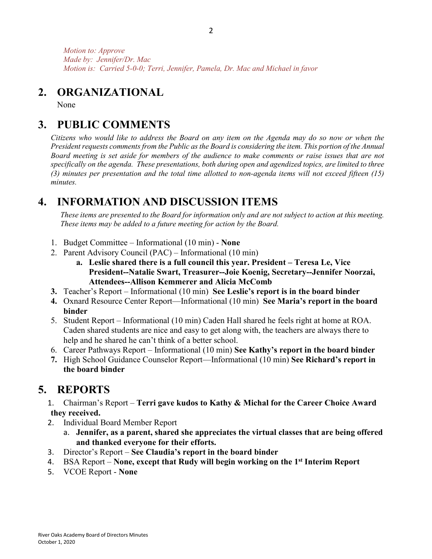*Motion to: Approve Made by: Jennifer/Dr. Mac Motion is: Carried 5-0-0; Terri, Jennifer, Pamela, Dr. Mac and Michael in favor*

## **2. ORGANIZATIONAL**

None

# **3. PUBLIC COMMENTS**

*Citizens who would like to address the Board on any item on the Agenda may do so now or when the President requests comments from the Public as the Board is considering the item. This portion of the Annual Board meeting is set aside for members of the audience to make comments or raise issues that are not specifically on the agenda. These presentations, both during open and agendized topics, are limited to three (3) minutes per presentation and the total time allotted to non-agenda items will not exceed fifteen (15) minutes.*

# **4. INFORMATION AND DISCUSSION ITEMS**

*These items are presented to the Board for information only and are not subject to action at this meeting. These items may be added to a future meeting for action by the Board.*

- 1. Budget Committee Informational (10 min) **None**
- 2. Parent Advisory Council (PAC) Informational (10 min)
	- **a. Leslie shared there is a full council this year. President – Teresa Le, Vice President--Natalie Swart, Treasurer--Joie Koenig, Secretary--Jennifer Noorzai, Attendees--Allison Kemmerer and Alicia McComb**
- **3.** Teacher's Report Informational (10 min) **See Leslie's report is in the board binder**
- **4.** Oxnard Resource Center Report—Informational (10 min) **See Maria's report in the board binder**
- 5. Student Report Informational (10 min) Caden Hall shared he feels right at home at ROA. Caden shared students are nice and easy to get along with, the teachers are always there to help and he shared he can't think of a better school.
- 6. Career Pathways Report Informational (10 min) **See Kathy's report in the board binder**
- **7.** High School Guidance Counselor Report—Informational (10 min) **See Richard's report in the board binder**

# **5. REPORTS**

- 1. Chairman's Report **Terri gave kudos to Kathy & Michal for the Career Choice Award they received.**
- 2. Individual Board Member Report
	- a. **Jennifer, as a parent, shared she appreciates the virtual classes that are being offered and thanked everyone for their efforts.**
- 3. Director's Report **See Claudia's report in the board binder**
- 4. BSA Report **None, except that Rudy will begin working on the 1st Interim Report**
- 5. VCOE Report **None**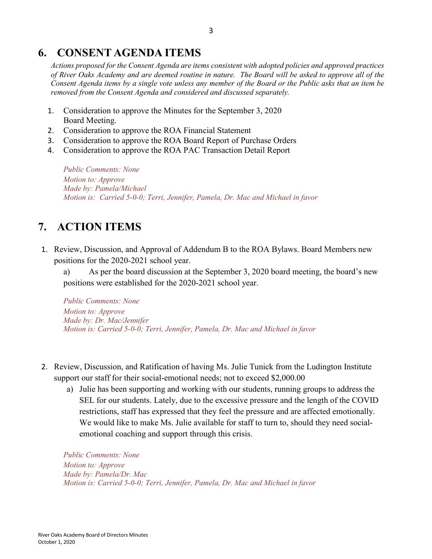## **6. CONSENT AGENDA ITEMS**

*Actions proposed for the Consent Agenda are items consistent with adopted policies and approved practices of River Oaks Academy and are deemed routine in nature. The Board will be asked to approve all of the Consent Agenda items by a single vote unless any member of the Board or the Public asks that an item be removed from the Consent Agenda and considered and discussed separately.*

- 1. Consideration to approve the Minutes for the September 3, 2020 Board Meeting.
- 2. Consideration to approve the ROA Financial Statement
- 3. Consideration to approve the ROA Board Report of Purchase Orders
- 4. Consideration to approve the ROA PAC Transaction Detail Report

*Public Comments: None Motion to: Approve Made by: Pamela/Michael Motion is: Carried 5-0-0; Terri, Jennifer, Pamela, Dr. Mac and Michael in favor*

# **7. ACTION ITEMS**

1. Review, Discussion, and Approval of Addendum B to the ROA Bylaws. Board Members new positions for the 2020-2021 school year.

a) As per the board discussion at the September 3, 2020 board meeting, the board's new positions were established for the 2020-2021 school year.

*Public Comments: None Motion to: Approve Made by: Dr. Mac/Jennifer Motion is: Carried 5-0-0; Terri, Jennifer, Pamela, Dr. Mac and Michael in favor*

- 2. Review, Discussion, and Ratification of having Ms. Julie Tunick from the Ludington Institute support our staff for their social-emotional needs; not to exceed \$2,000.00
	- a) Julie has been supporting and working with our students, running groups to address the SEL for our students. Lately, due to the excessive pressure and the length of the COVID restrictions, staff has expressed that they feel the pressure and are affected emotionally. We would like to make Ms. Julie available for staff to turn to, should they need socialemotional coaching and support through this crisis.

*Public Comments: None Motion to: Approve Made by: Pamela/Dr. Mac Motion is: Carried 5-0-0; Terri, Jennifer, Pamela, Dr. Mac and Michael in favor*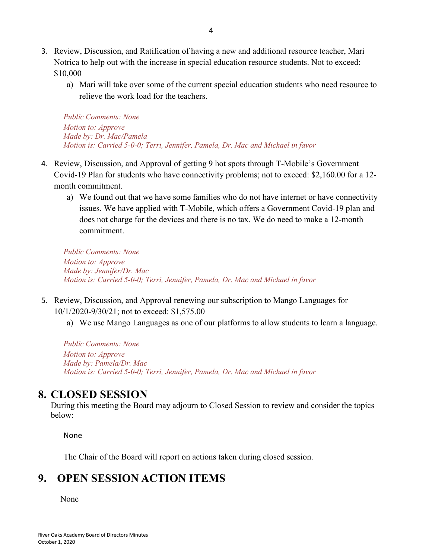- 3. Review, Discussion, and Ratification of having a new and additional resource teacher, Mari Notrica to help out with the increase in special education resource students. Not to exceed: \$10,000
	- a) Mari will take over some of the current special education students who need resource to relieve the work load for the teachers.

*Public Comments: None Motion to: Approve Made by: Dr. Mac/Pamela Motion is: Carried 5-0-0; Terri, Jennifer, Pamela, Dr. Mac and Michael in favor*

- 4. Review, Discussion, and Approval of getting 9 hot spots through T-Mobile's Government Covid-19 Plan for students who have connectivity problems; not to exceed: \$2,160.00 for a 12 month commitment.
	- a) We found out that we have some families who do not have internet or have connectivity issues. We have applied with T-Mobile, which offers a Government Covid-19 plan and does not charge for the devices and there is no tax. We do need to make a 12-month commitment.

*Public Comments: None Motion to: Approve Made by: Jennifer/Dr. Mac Motion is: Carried 5-0-0; Terri, Jennifer, Pamela, Dr. Mac and Michael in favor*

- 5. Review, Discussion, and Approval renewing our subscription to Mango Languages for 10/1/2020-9/30/21; not to exceed: \$1,575.00
	- a) We use Mango Languages as one of our platforms to allow students to learn a language.

*Public Comments: None Motion to: Approve Made by: Pamela/Dr. Mac Motion is: Carried 5-0-0; Terri, Jennifer, Pamela, Dr. Mac and Michael in favor*

## **8. CLOSED SESSION**

During this meeting the Board may adjourn to Closed Session to review and consider the topics below:

None

The Chair of the Board will report on actions taken during closed session.

## **9. OPEN SESSION ACTION ITEMS**

None